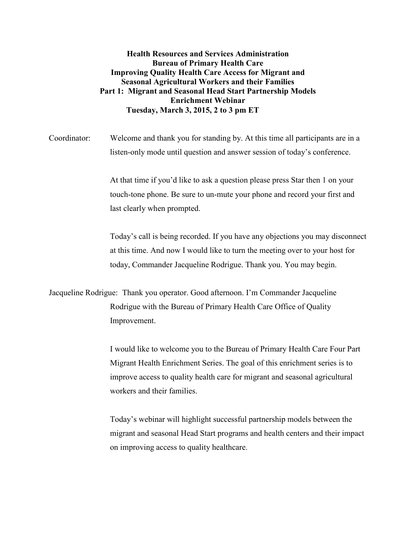**Health Resources and Services Administration Bureau of Primary Health Care Improving Quality Health Care Access for Migrant and Seasonal Agricultural Workers and their Families Part 1: Migrant and Seasonal Head Start Partnership Models Enrichment Webinar Tuesday, March 3, 2015, 2 to 3 pm ET** 

Coordinator: Welcome and thank you for standing by. At this time all participants are in a listen-only mode until question and answer session of today's conference.

> At that time if you'd like to ask a question please press Star then 1 on your touch-tone phone. Be sure to un-mute your phone and record your first and last clearly when prompted.

Today's call is being recorded. If you have any objections you may disconnect at this time. And now I would like to turn the meeting over to your host for today, Commander Jacqueline Rodrigue. Thank you. You may begin.

Jacqueline Rodrigue: Thank you operator. Good afternoon. I'm Commander Jacqueline Rodrigue with the Bureau of Primary Health Care Office of Quality Improvement.

> I would like to welcome you to the Bureau of Primary Health Care Four Part Migrant Health Enrichment Series. The goal of this enrichment series is to improve access to quality health care for migrant and seasonal agricultural workers and their families.

Today's webinar will highlight successful partnership models between the migrant and seasonal Head Start programs and health centers and their impact on improving access to quality healthcare.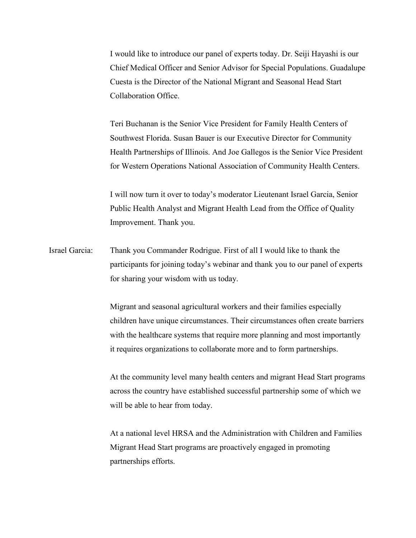I would like to introduce our panel of experts today. Dr. Seiji Hayashi is our Chief Medical Officer and Senior Advisor for Special Populations. Guadalupe Cuesta is the Director of the National Migrant and Seasonal Head Start Collaboration Office.

Teri Buchanan is the Senior Vice President for Family Health Centers of Southwest Florida. Susan Bauer is our Executive Director for Community Health Partnerships of Illinois. And Joe Gallegos is the Senior Vice President for Western Operations National Association of Community Health Centers.

I will now turn it over to today's moderator Lieutenant Israel Garcia, Senior Public Health Analyst and Migrant Health Lead from the Office of Quality Improvement. Thank you.

Israel Garcia: Thank you Commander Rodrigue. First of all I would like to thank the participants for joining today's webinar and thank you to our panel of experts for sharing your wisdom with us today.

> Migrant and seasonal agricultural workers and their families especially children have unique circumstances. Their circumstances often create barriers with the healthcare systems that require more planning and most importantly it requires organizations to collaborate more and to form partnerships.

> At the community level many health centers and migrant Head Start programs across the country have established successful partnership some of which we will be able to hear from today.

At a national level HRSA and the Administration with Children and Families Migrant Head Start programs are proactively engaged in promoting partnerships efforts.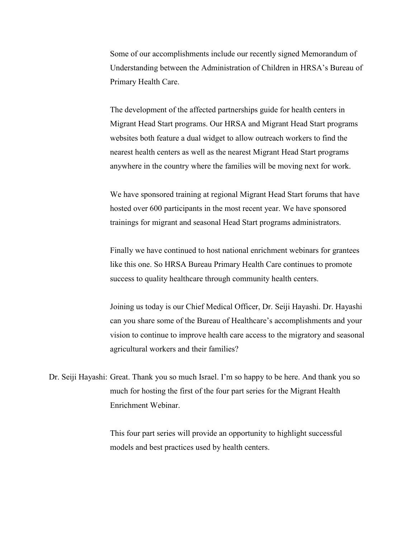Some of our accomplishments include our recently signed Memorandum of Understanding between the Administration of Children in HRSA's Bureau of Primary Health Care.

The development of the affected partnerships guide for health centers in Migrant Head Start programs. Our HRSA and Migrant Head Start programs websites both feature a dual widget to allow outreach workers to find the nearest health centers as well as the nearest Migrant Head Start programs anywhere in the country where the families will be moving next for work.

We have sponsored training at regional Migrant Head Start forums that have hosted over 600 participants in the most recent year. We have sponsored trainings for migrant and seasonal Head Start programs administrators.

Finally we have continued to host national enrichment webinars for grantees like this one. So HRSA Bureau Primary Health Care continues to promote success to quality healthcare through community health centers.

Joining us today is our Chief Medical Officer, Dr. Seiji Hayashi. Dr. Hayashi can you share some of the Bureau of Healthcare's accomplishments and your vision to continue to improve health care access to the migratory and seasonal agricultural workers and their families?

Dr. Seiji Hayashi: Great. Thank you so much Israel. I'm so happy to be here. And thank you so much for hosting the first of the four part series for the Migrant Health Enrichment Webinar.

> This four part series will provide an opportunity to highlight successful models and best practices used by health centers.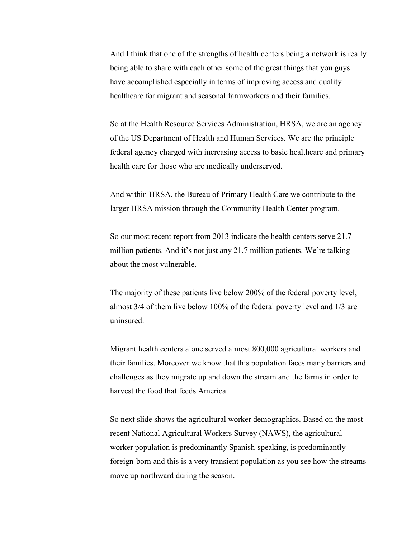And I think that one of the strengths of health centers being a network is really being able to share with each other some of the great things that you guys have accomplished especially in terms of improving access and quality healthcare for migrant and seasonal farmworkers and their families.

So at the Health Resource Services Administration, HRSA, we are an agency of the US Department of Health and Human Services. We are the principle federal agency charged with increasing access to basic healthcare and primary health care for those who are medically underserved.

And within HRSA, the Bureau of Primary Health Care we contribute to the larger HRSA mission through the Community Health Center program.

So our most recent report from 2013 indicate the health centers serve 21.7 million patients. And it's not just any 21.7 million patients. We're talking about the most vulnerable.

The majority of these patients live below 200% of the federal poverty level, almost 3/4 of them live below 100% of the federal poverty level and 1/3 are uninsured.

Migrant health centers alone served almost 800,000 agricultural workers and their families. Moreover we know that this population faces many barriers and challenges as they migrate up and down the stream and the farms in order to harvest the food that feeds America.

So next slide shows the agricultural worker demographics. Based on the most recent National Agricultural Workers Survey (NAWS), the agricultural worker population is predominantly Spanish-speaking, is predominantly foreign-born and this is a very transient population as you see how the streams move up northward during the season.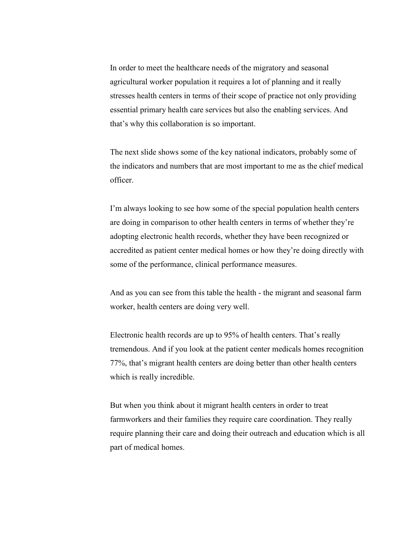In order to meet the healthcare needs of the migratory and seasonal agricultural worker population it requires a lot of planning and it really stresses health centers in terms of their scope of practice not only providing essential primary health care services but also the enabling services. And that's why this collaboration is so important.

The next slide shows some of the key national indicators, probably some of the indicators and numbers that are most important to me as the chief medical officer.

I'm always looking to see how some of the special population health centers are doing in comparison to other health centers in terms of whether they're adopting electronic health records, whether they have been recognized or accredited as patient center medical homes or how they're doing directly with some of the performance, clinical performance measures.

And as you can see from this table the health - the migrant and seasonal farm worker, health centers are doing very well.

Electronic health records are up to 95% of health centers. That's really tremendous. And if you look at the patient center medicals homes recognition 77%, that's migrant health centers are doing better than other health centers which is really incredible.

But when you think about it migrant health centers in order to treat farmworkers and their families they require care coordination. They really require planning their care and doing their outreach and education which is all part of medical homes.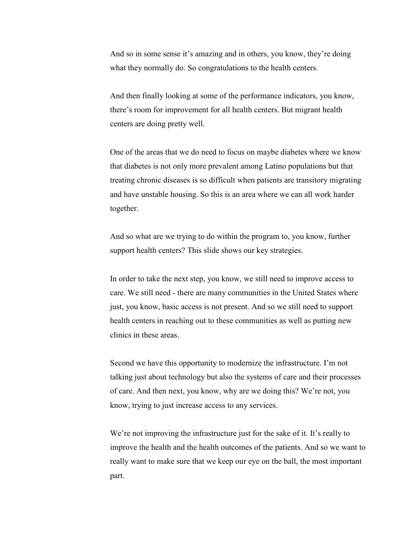And so in some sense it's amazing and in others, you know, they're doing what they normally do. So congratulations to the health centers.

And then finally looking at some of the performance indicators, you know, there's room for improvement for all health centers. But migrant health centers are doing pretty well.

One of the areas that we do need to focus on maybe diabetes where we know that diabetes is not only more prevalent among Latino populations but that treating chronic diseases is so difficult when patients are transitory migrating and have unstable housing. So this is an area where we can all work harder together.

And so what are we trying to do within the program to, you know, further support health centers? This slide shows our key strategies.

In order to take the next step, you know, we still need to improve access to care. We still need - there are many communities in the United States where just, you know, basic access is not present. And so we still need to support health centers in reaching out to these communities as well as putting new clinics in these areas.

Second we have this opportunity to modernize the infrastructure. I'm not talking just about technology but also the systems of care and their processes of care. And then next, you know, why are we doing this? We're not, you know, trying to just increase access to any services.

We're not improving the infrastructure just for the sake of it. It's really to improve the health and the health outcomes of the patients. And so we want to really want to make sure that we keep our eye on the ball, the most important part.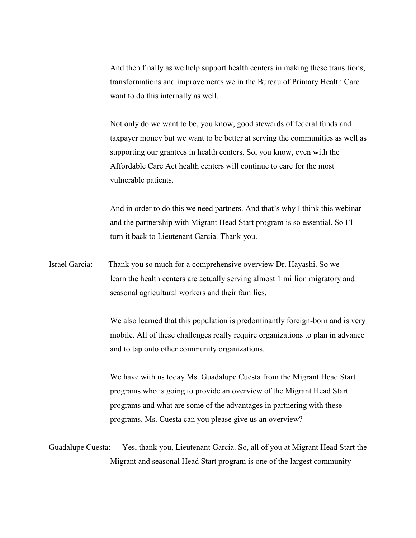And then finally as we help support health centers in making these transitions, transformations and improvements we in the Bureau of Primary Health Care want to do this internally as well.

Not only do we want to be, you know, good stewards of federal funds and taxpayer money but we want to be better at serving the communities as well as supporting our grantees in health centers. So, you know, even with the Affordable Care Act health centers will continue to care for the most vulnerable patients.

And in order to do this we need partners. And that's why I think this webinar and the partnership with Migrant Head Start program is so essential. So I'll turn it back to Lieutenant Garcia. Thank you.

Israel Garcia: Thank you so much for a comprehensive overview Dr. Hayashi. So we learn the health centers are actually serving almost 1 million migratory and seasonal agricultural workers and their families.

> We also learned that this population is predominantly foreign-born and is very mobile. All of these challenges really require organizations to plan in advance and to tap onto other community organizations.

We have with us today Ms. Guadalupe Cuesta from the Migrant Head Start programs who is going to provide an overview of the Migrant Head Start programs and what are some of the advantages in partnering with these programs. Ms. Cuesta can you please give us an overview?

Guadalupe Cuesta: Yes, thank you, Lieutenant Garcia. So, all of you at Migrant Head Start the Migrant and seasonal Head Start program is one of the largest community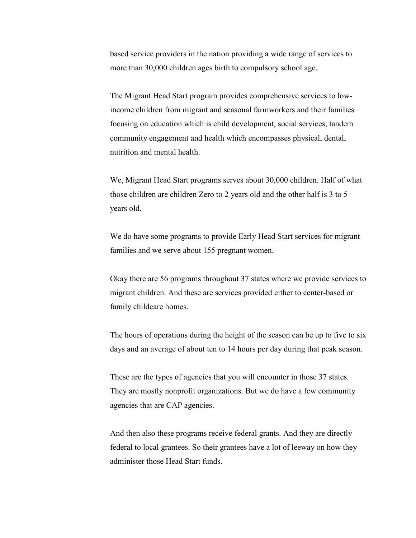based service providers in the nation providing a wide range of services to more than 30,000 children ages birth to compulsory school age.

The Migrant Head Start program provides comprehensive services to lowincome children from migrant and seasonal farmworkers and their families focusing on education which is child development, social services, tandem community engagement and health which encompasses physical, dental, nutrition and mental health.

We, Migrant Head Start programs serves about 30,000 children. Half of what those children are children Zero to 2 years old and the other half is 3 to 5 years old.

We do have some programs to provide Early Head Start services for migrant families and we serve about 155 pregnant women.

Okay there are 56 programs throughout 37 states where we provide services to migrant children. And these are services provided either to center-based or family childcare homes.

The hours of operations during the height of the season can be up to five to six days and an average of about ten to 14 hours per day during that peak season.

These are the types of agencies that you will encounter in those 37 states. They are mostly nonprofit organizations. But we do have a few community agencies that are CAP agencies.

And then also these programs receive federal grants. And they are directly federal to local grantees. So their grantees have a lot of leeway on how they administer those Head Start funds.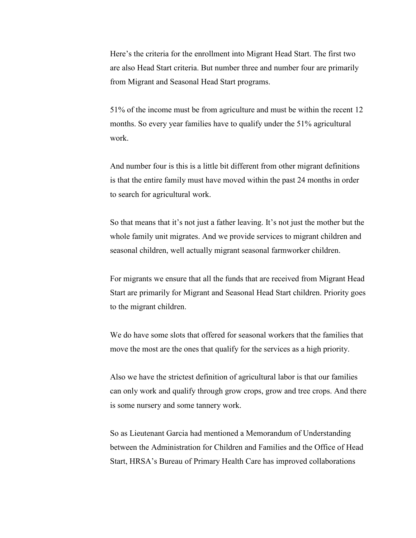Here's the criteria for the enrollment into Migrant Head Start. The first two are also Head Start criteria. But number three and number four are primarily from Migrant and Seasonal Head Start programs.

51% of the income must be from agriculture and must be within the recent 12 months. So every year families have to qualify under the 51% agricultural work.

And number four is this is a little bit different from other migrant definitions is that the entire family must have moved within the past 24 months in order to search for agricultural work.

So that means that it's not just a father leaving. It's not just the mother but the whole family unit migrates. And we provide services to migrant children and seasonal children, well actually migrant seasonal farmworker children.

For migrants we ensure that all the funds that are received from Migrant Head Start are primarily for Migrant and Seasonal Head Start children. Priority goes to the migrant children.

We do have some slots that offered for seasonal workers that the families that move the most are the ones that qualify for the services as a high priority.

Also we have the strictest definition of agricultural labor is that our families can only work and qualify through grow crops, grow and tree crops. And there is some nursery and some tannery work.

So as Lieutenant Garcia had mentioned a Memorandum of Understanding between the Administration for Children and Families and the Office of Head Start, HRSA's Bureau of Primary Health Care has improved collaborations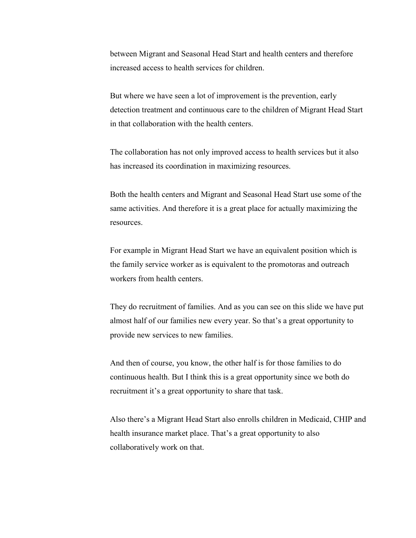between Migrant and Seasonal Head Start and health centers and therefore increased access to health services for children.

But where we have seen a lot of improvement is the prevention, early detection treatment and continuous care to the children of Migrant Head Start in that collaboration with the health centers.

The collaboration has not only improved access to health services but it also has increased its coordination in maximizing resources.

Both the health centers and Migrant and Seasonal Head Start use some of the same activities. And therefore it is a great place for actually maximizing the resources.

For example in Migrant Head Start we have an equivalent position which is the family service worker as is equivalent to the promotoras and outreach workers from health centers.

They do recruitment of families. And as you can see on this slide we have put almost half of our families new every year. So that's a great opportunity to provide new services to new families.

And then of course, you know, the other half is for those families to do continuous health. But I think this is a great opportunity since we both do recruitment it's a great opportunity to share that task.

Also there's a Migrant Head Start also enrolls children in Medicaid, CHIP and health insurance market place. That's a great opportunity to also collaboratively work on that.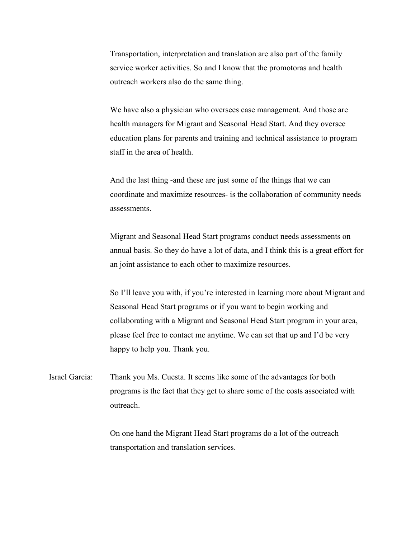Transportation, interpretation and translation are also part of the family service worker activities. So and I know that the promotoras and health outreach workers also do the same thing.

We have also a physician who oversees case management. And those are health managers for Migrant and Seasonal Head Start. And they oversee education plans for parents and training and technical assistance to program staff in the area of health.

And the last thing -and these are just some of the things that we can coordinate and maximize resources- is the collaboration of community needs assessments.

Migrant and Seasonal Head Start programs conduct needs assessments on annual basis. So they do have a lot of data, and I think this is a great effort for an joint assistance to each other to maximize resources.

So I'll leave you with, if you're interested in learning more about Migrant and Seasonal Head Start programs or if you want to begin working and collaborating with a Migrant and Seasonal Head Start program in your area, please feel free to contact me anytime. We can set that up and I'd be very happy to help you. Thank you.

Israel Garcia: Thank you Ms. Cuesta. It seems like some of the advantages for both programs is the fact that they get to share some of the costs associated with outreach.

> On one hand the Migrant Head Start programs do a lot of the outreach transportation and translation services.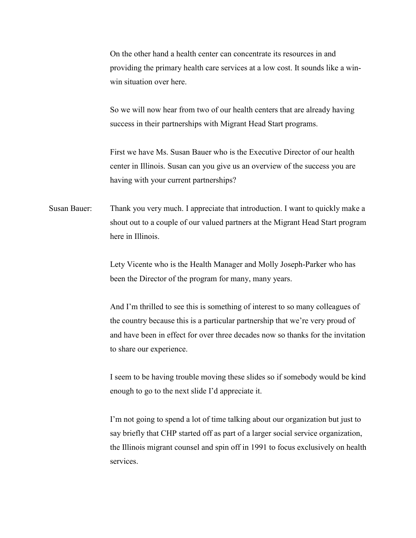On the other hand a health center can concentrate its resources in and providing the primary health care services at a low cost. It sounds like a winwin situation over here.

So we will now hear from two of our health centers that are already having success in their partnerships with Migrant Head Start programs.

First we have Ms. Susan Bauer who is the Executive Director of our health center in Illinois. Susan can you give us an overview of the success you are having with your current partnerships?

Susan Bauer: Thank you very much. I appreciate that introduction. I want to quickly make a shout out to a couple of our valued partners at the Migrant Head Start program here in Illinois.

> Lety Vicente who is the Health Manager and Molly Joseph-Parker who has been the Director of the program for many, many years.

And I'm thrilled to see this is something of interest to so many colleagues of the country because this is a particular partnership that we're very proud of and have been in effect for over three decades now so thanks for the invitation to share our experience.

I seem to be having trouble moving these slides so if somebody would be kind enough to go to the next slide I'd appreciate it.

I'm not going to spend a lot of time talking about our organization but just to say briefly that CHP started off as part of a larger social service organization, the Illinois migrant counsel and spin off in 1991 to focus exclusively on health services.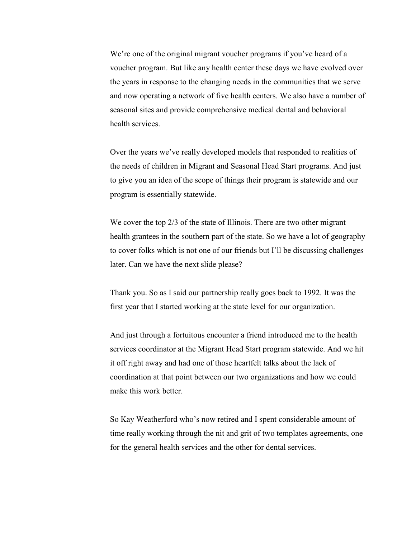We're one of the original migrant voucher programs if you've heard of a voucher program. But like any health center these days we have evolved over the years in response to the changing needs in the communities that we serve and now operating a network of five health centers. We also have a number of seasonal sites and provide comprehensive medical dental and behavioral health services.

Over the years we've really developed models that responded to realities of the needs of children in Migrant and Seasonal Head Start programs. And just to give you an idea of the scope of things their program is statewide and our program is essentially statewide.

We cover the top 2/3 of the state of Illinois. There are two other migrant health grantees in the southern part of the state. So we have a lot of geography to cover folks which is not one of our friends but I'll be discussing challenges later. Can we have the next slide please?

Thank you. So as I said our partnership really goes back to 1992. It was the first year that I started working at the state level for our organization.

And just through a fortuitous encounter a friend introduced me to the health services coordinator at the Migrant Head Start program statewide. And we hit it off right away and had one of those heartfelt talks about the lack of coordination at that point between our two organizations and how we could make this work better.

So Kay Weatherford who's now retired and I spent considerable amount of time really working through the nit and grit of two templates agreements, one for the general health services and the other for dental services.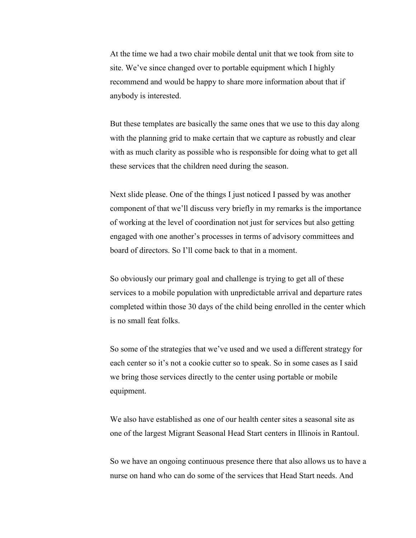At the time we had a two chair mobile dental unit that we took from site to site. We've since changed over to portable equipment which I highly recommend and would be happy to share more information about that if anybody is interested.

But these templates are basically the same ones that we use to this day along with the planning grid to make certain that we capture as robustly and clear with as much clarity as possible who is responsible for doing what to get all these services that the children need during the season.

Next slide please. One of the things I just noticed I passed by was another component of that we'll discuss very briefly in my remarks is the importance of working at the level of coordination not just for services but also getting engaged with one another's processes in terms of advisory committees and board of directors. So I'll come back to that in a moment.

So obviously our primary goal and challenge is trying to get all of these services to a mobile population with unpredictable arrival and departure rates completed within those 30 days of the child being enrolled in the center which is no small feat folks.

So some of the strategies that we've used and we used a different strategy for each center so it's not a cookie cutter so to speak. So in some cases as I said we bring those services directly to the center using portable or mobile equipment.

We also have established as one of our health center sites a seasonal site as one of the largest Migrant Seasonal Head Start centers in Illinois in Rantoul.

So we have an ongoing continuous presence there that also allows us to have a nurse on hand who can do some of the services that Head Start needs. And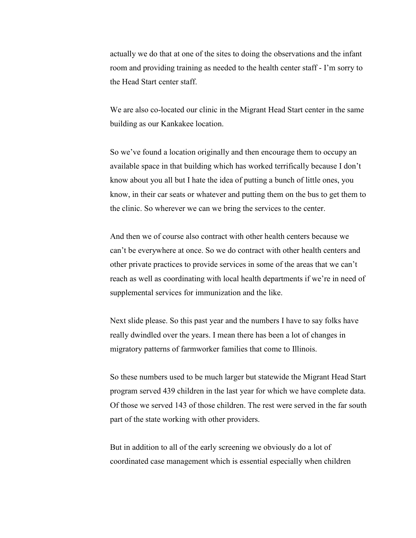actually we do that at one of the sites to doing the observations and the infant room and providing training as needed to the health center staff - I'm sorry to the Head Start center staff.

We are also co-located our clinic in the Migrant Head Start center in the same building as our Kankakee location.

So we've found a location originally and then encourage them to occupy an available space in that building which has worked terrifically because I don't know about you all but I hate the idea of putting a bunch of little ones, you know, in their car seats or whatever and putting them on the bus to get them to the clinic. So wherever we can we bring the services to the center.

And then we of course also contract with other health centers because we can't be everywhere at once. So we do contract with other health centers and other private practices to provide services in some of the areas that we can't reach as well as coordinating with local health departments if we're in need of supplemental services for immunization and the like.

Next slide please. So this past year and the numbers I have to say folks have really dwindled over the years. I mean there has been a lot of changes in migratory patterns of farmworker families that come to Illinois.

So these numbers used to be much larger but statewide the Migrant Head Start program served 439 children in the last year for which we have complete data. Of those we served 143 of those children. The rest were served in the far south part of the state working with other providers.

But in addition to all of the early screening we obviously do a lot of coordinated case management which is essential especially when children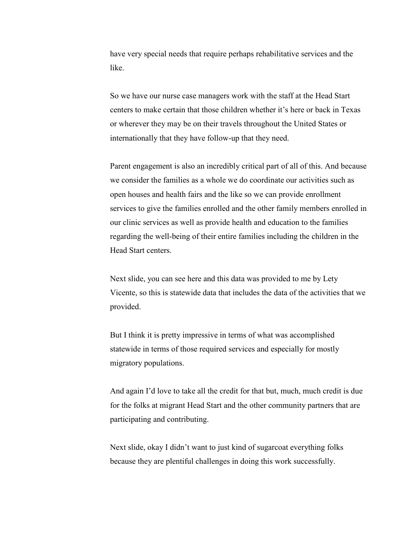have very special needs that require perhaps rehabilitative services and the like.

So we have our nurse case managers work with the staff at the Head Start centers to make certain that those children whether it's here or back in Texas or wherever they may be on their travels throughout the United States or internationally that they have follow-up that they need.

Parent engagement is also an incredibly critical part of all of this. And because we consider the families as a whole we do coordinate our activities such as open houses and health fairs and the like so we can provide enrollment services to give the families enrolled and the other family members enrolled in our clinic services as well as provide health and education to the families regarding the well-being of their entire families including the children in the Head Start centers.

Next slide, you can see here and this data was provided to me by Lety Vicente, so this is statewide data that includes the data of the activities that we provided.

But I think it is pretty impressive in terms of what was accomplished statewide in terms of those required services and especially for mostly migratory populations.

And again I'd love to take all the credit for that but, much, much credit is due for the folks at migrant Head Start and the other community partners that are participating and contributing.

Next slide, okay I didn't want to just kind of sugarcoat everything folks because they are plentiful challenges in doing this work successfully.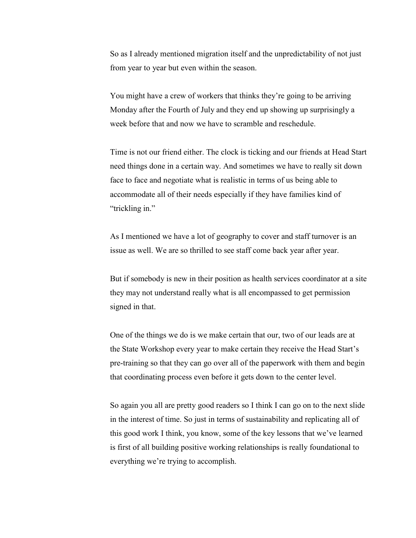So as I already mentioned migration itself and the unpredictability of not just from year to year but even within the season.

You might have a crew of workers that thinks they're going to be arriving Monday after the Fourth of July and they end up showing up surprisingly a week before that and now we have to scramble and reschedule.

Time is not our friend either. The clock is ticking and our friends at Head Start need things done in a certain way. And sometimes we have to really sit down face to face and negotiate what is realistic in terms of us being able to accommodate all of their needs especially if they have families kind of "trickling in."

As I mentioned we have a lot of geography to cover and staff turnover is an issue as well. We are so thrilled to see staff come back year after year.

But if somebody is new in their position as health services coordinator at a site they may not understand really what is all encompassed to get permission signed in that.

One of the things we do is we make certain that our, two of our leads are at the State Workshop every year to make certain they receive the Head Start's pre-training so that they can go over all of the paperwork with them and begin that coordinating process even before it gets down to the center level.

So again you all are pretty good readers so I think I can go on to the next slide in the interest of time. So just in terms of sustainability and replicating all of this good work I think, you know, some of the key lessons that we've learned is first of all building positive working relationships is really foundational to everything we're trying to accomplish.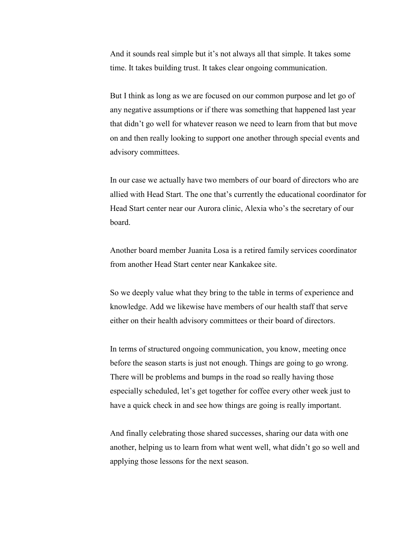And it sounds real simple but it's not always all that simple. It takes some time. It takes building trust. It takes clear ongoing communication.

But I think as long as we are focused on our common purpose and let go of any negative assumptions or if there was something that happened last year that didn't go well for whatever reason we need to learn from that but move on and then really looking to support one another through special events and advisory committees.

In our case we actually have two members of our board of directors who are allied with Head Start. The one that's currently the educational coordinator for Head Start center near our Aurora clinic, Alexia who's the secretary of our board.

Another board member Juanita Losa is a retired family services coordinator from another Head Start center near Kankakee site.

So we deeply value what they bring to the table in terms of experience and knowledge. Add we likewise have members of our health staff that serve either on their health advisory committees or their board of directors.

In terms of structured ongoing communication, you know, meeting once before the season starts is just not enough. Things are going to go wrong. There will be problems and bumps in the road so really having those especially scheduled, let's get together for coffee every other week just to have a quick check in and see how things are going is really important.

And finally celebrating those shared successes, sharing our data with one another, helping us to learn from what went well, what didn't go so well and applying those lessons for the next season.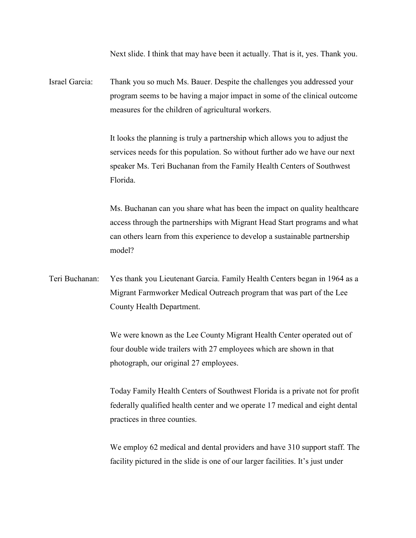Next slide. I think that may have been it actually. That is it, yes. Thank you.

Israel Garcia: Thank you so much Ms. Bauer. Despite the challenges you addressed your program seems to be having a major impact in some of the clinical outcome measures for the children of agricultural workers.

> It looks the planning is truly a partnership which allows you to adjust the services needs for this population. So without further ado we have our next speaker Ms. Teri Buchanan from the Family Health Centers of Southwest Florida.

Ms. Buchanan can you share what has been the impact on quality healthcare access through the partnerships with Migrant Head Start programs and what can others learn from this experience to develop a sustainable partnership model?

Teri Buchanan: Yes thank you Lieutenant Garcia. Family Health Centers began in 1964 as a Migrant Farmworker Medical Outreach program that was part of the Lee County Health Department.

> We were known as the Lee County Migrant Health Center operated out of four double wide trailers with 27 employees which are shown in that photograph, our original 27 employees.

Today Family Health Centers of Southwest Florida is a private not for profit federally qualified health center and we operate 17 medical and eight dental practices in three counties.

We employ 62 medical and dental providers and have 310 support staff. The facility pictured in the slide is one of our larger facilities. It's just under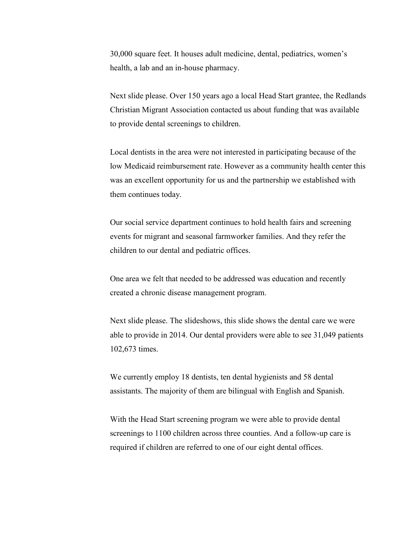30,000 square feet. It houses adult medicine, dental, pediatrics, women's health, a lab and an in-house pharmacy.

Next slide please. Over 150 years ago a local Head Start grantee, the Redlands Christian Migrant Association contacted us about funding that was available to provide dental screenings to children.

Local dentists in the area were not interested in participating because of the low Medicaid reimbursement rate. However as a community health center this was an excellent opportunity for us and the partnership we established with them continues today.

Our social service department continues to hold health fairs and screening events for migrant and seasonal farmworker families. And they refer the children to our dental and pediatric offices.

One area we felt that needed to be addressed was education and recently created a chronic disease management program.

Next slide please. The slideshows, this slide shows the dental care we were able to provide in 2014. Our dental providers were able to see 31,049 patients 102,673 times.

We currently employ 18 dentists, ten dental hygienists and 58 dental assistants. The majority of them are bilingual with English and Spanish.

With the Head Start screening program we were able to provide dental screenings to 1100 children across three counties. And a follow-up care is required if children are referred to one of our eight dental offices.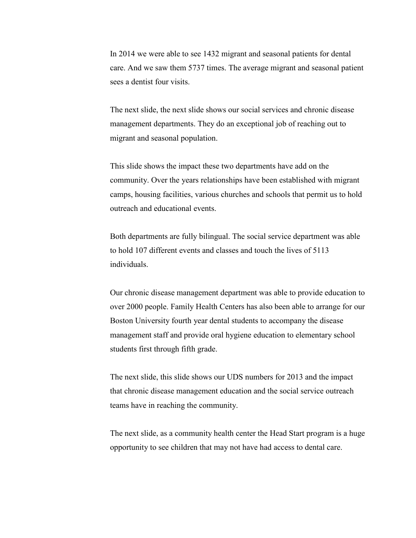In 2014 we were able to see 1432 migrant and seasonal patients for dental care. And we saw them 5737 times. The average migrant and seasonal patient sees a dentist four visits.

The next slide, the next slide shows our social services and chronic disease management departments. They do an exceptional job of reaching out to migrant and seasonal population.

This slide shows the impact these two departments have add on the community. Over the years relationships have been established with migrant camps, housing facilities, various churches and schools that permit us to hold outreach and educational events.

Both departments are fully bilingual. The social service department was able to hold 107 different events and classes and touch the lives of 5113 individuals.

Our chronic disease management department was able to provide education to over 2000 people. Family Health Centers has also been able to arrange for our Boston University fourth year dental students to accompany the disease management staff and provide oral hygiene education to elementary school students first through fifth grade.

The next slide, this slide shows our UDS numbers for 2013 and the impact that chronic disease management education and the social service outreach teams have in reaching the community.

The next slide, as a community health center the Head Start program is a huge opportunity to see children that may not have had access to dental care.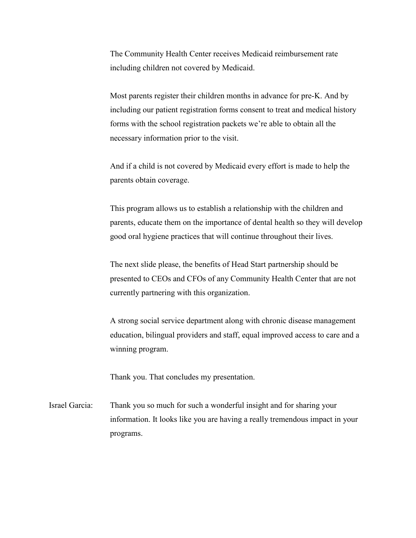The Community Health Center receives Medicaid reimbursement rate including children not covered by Medicaid.

Most parents register their children months in advance for pre-K. And by including our patient registration forms consent to treat and medical history forms with the school registration packets we're able to obtain all the necessary information prior to the visit.

And if a child is not covered by Medicaid every effort is made to help the parents obtain coverage.

This program allows us to establish a relationship with the children and parents, educate them on the importance of dental health so they will develop good oral hygiene practices that will continue throughout their lives.

The next slide please, the benefits of Head Start partnership should be presented to CEOs and CFOs of any Community Health Center that are not currently partnering with this organization.

A strong social service department along with chronic disease management education, bilingual providers and staff, equal improved access to care and a winning program.

Thank you. That concludes my presentation.

Israel Garcia: Thank you so much for such a wonderful insight and for sharing your information. It looks like you are having a really tremendous impact in your programs.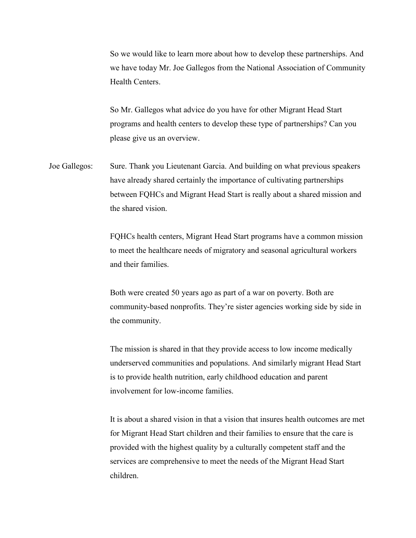So we would like to learn more about how to develop these partnerships. And we have today Mr. Joe Gallegos from the National Association of Community Health Centers.

So Mr. Gallegos what advice do you have for other Migrant Head Start programs and health centers to develop these type of partnerships? Can you please give us an overview.

Joe Gallegos: Sure. Thank you Lieutenant Garcia. And building on what previous speakers have already shared certainly the importance of cultivating partnerships between FQHCs and Migrant Head Start is really about a shared mission and the shared vision.

> FQHCs health centers, Migrant Head Start programs have a common mission to meet the healthcare needs of migratory and seasonal agricultural workers and their families.

> Both were created 50 years ago as part of a war on poverty. Both are community-based nonprofits. They're sister agencies working side by side in the community.

> The mission is shared in that they provide access to low income medically underserved communities and populations. And similarly migrant Head Start is to provide health nutrition, early childhood education and parent involvement for low-income families.

It is about a shared vision in that a vision that insures health outcomes are met for Migrant Head Start children and their families to ensure that the care is provided with the highest quality by a culturally competent staff and the services are comprehensive to meet the needs of the Migrant Head Start children.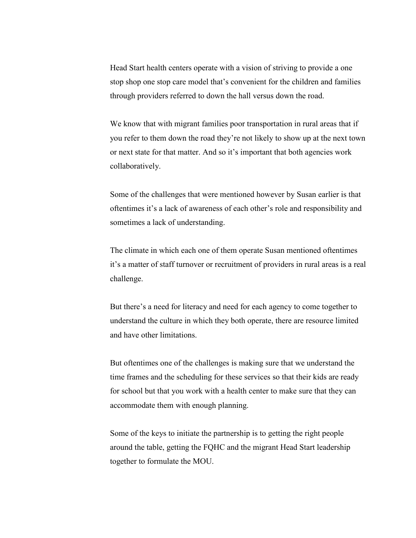Head Start health centers operate with a vision of striving to provide a one stop shop one stop care model that's convenient for the children and families through providers referred to down the hall versus down the road.

We know that with migrant families poor transportation in rural areas that if you refer to them down the road they're not likely to show up at the next town or next state for that matter. And so it's important that both agencies work collaboratively.

Some of the challenges that were mentioned however by Susan earlier is that oftentimes it's a lack of awareness of each other's role and responsibility and sometimes a lack of understanding.

The climate in which each one of them operate Susan mentioned oftentimes it's a matter of staff turnover or recruitment of providers in rural areas is a real challenge.

But there's a need for literacy and need for each agency to come together to understand the culture in which they both operate, there are resource limited and have other limitations.

But oftentimes one of the challenges is making sure that we understand the time frames and the scheduling for these services so that their kids are ready for school but that you work with a health center to make sure that they can accommodate them with enough planning.

Some of the keys to initiate the partnership is to getting the right people around the table, getting the FQHC and the migrant Head Start leadership together to formulate the MOU.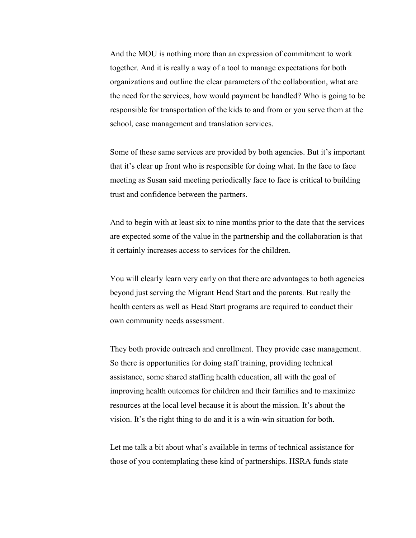And the MOU is nothing more than an expression of commitment to work together. And it is really a way of a tool to manage expectations for both organizations and outline the clear parameters of the collaboration, what are the need for the services, how would payment be handled? Who is going to be responsible for transportation of the kids to and from or you serve them at the school, case management and translation services.

Some of these same services are provided by both agencies. But it's important that it's clear up front who is responsible for doing what. In the face to face meeting as Susan said meeting periodically face to face is critical to building trust and confidence between the partners.

And to begin with at least six to nine months prior to the date that the services are expected some of the value in the partnership and the collaboration is that it certainly increases access to services for the children.

You will clearly learn very early on that there are advantages to both agencies beyond just serving the Migrant Head Start and the parents. But really the health centers as well as Head Start programs are required to conduct their own community needs assessment.

They both provide outreach and enrollment. They provide case management. So there is opportunities for doing staff training, providing technical assistance, some shared staffing health education, all with the goal of improving health outcomes for children and their families and to maximize resources at the local level because it is about the mission. It's about the vision. It's the right thing to do and it is a win-win situation for both.

Let me talk a bit about what's available in terms of technical assistance for those of you contemplating these kind of partnerships. HSRA funds state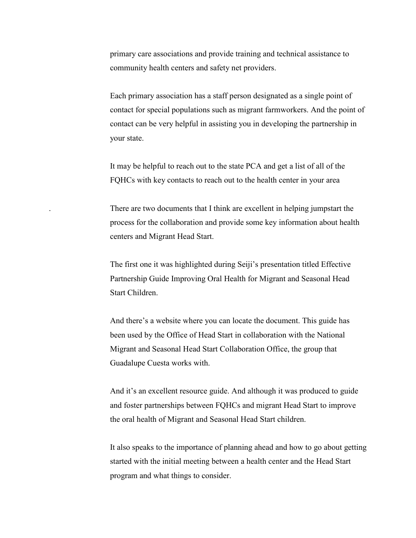primary care associations and provide training and technical assistance to community health centers and safety net providers.

Each primary association has a staff person designated as a single point of contact for special populations such as migrant farmworkers. And the point of contact can be very helpful in assisting you in developing the partnership in your state.

It may be helpful to reach out to the state PCA and get a list of all of the FQHCs with key contacts to reach out to the health center in your area

. There are two documents that I think are excellent in helping jumpstart the process for the collaboration and provide some key information about health centers and Migrant Head Start.

The first one it was highlighted during Seiji's presentation titled Effective Partnership Guide Improving Oral Health for Migrant and Seasonal Head Start Children.

And there's a website where you can locate the document. This guide has been used by the Office of Head Start in collaboration with the National Migrant and Seasonal Head Start Collaboration Office, the group that Guadalupe Cuesta works with.

And it's an excellent resource guide. And although it was produced to guide and foster partnerships between FQHCs and migrant Head Start to improve the oral health of Migrant and Seasonal Head Start children.

It also speaks to the importance of planning ahead and how to go about getting started with the initial meeting between a health center and the Head Start program and what things to consider.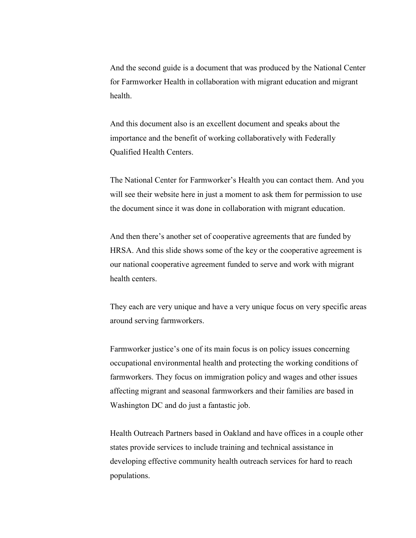And the second guide is a document that was produced by the National Center for Farmworker Health in collaboration with migrant education and migrant health.

And this document also is an excellent document and speaks about the importance and the benefit of working collaboratively with Federally Qualified Health Centers.

The National Center for Farmworker's Health you can contact them. And you will see their website here in just a moment to ask them for permission to use the document since it was done in collaboration with migrant education.

And then there's another set of cooperative agreements that are funded by HRSA. And this slide shows some of the key or the cooperative agreement is our national cooperative agreement funded to serve and work with migrant health centers.

They each are very unique and have a very unique focus on very specific areas around serving farmworkers.

Farmworker justice's one of its main focus is on policy issues concerning occupational environmental health and protecting the working conditions of farmworkers. They focus on immigration policy and wages and other issues affecting migrant and seasonal farmworkers and their families are based in Washington DC and do just a fantastic job.

Health Outreach Partners based in Oakland and have offices in a couple other states provide services to include training and technical assistance in developing effective community health outreach services for hard to reach populations.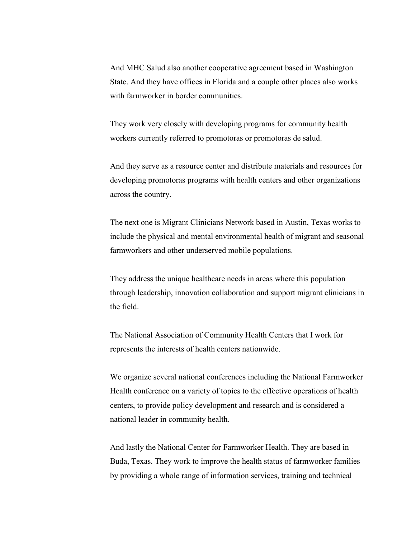And MHC Salud also another cooperative agreement based in Washington State. And they have offices in Florida and a couple other places also works with farmworker in border communities.

They work very closely with developing programs for community health workers currently referred to promotoras or promotoras de salud.

And they serve as a resource center and distribute materials and resources for developing promotoras programs with health centers and other organizations across the country.

The next one is Migrant Clinicians Network based in Austin, Texas works to include the physical and mental environmental health of migrant and seasonal farmworkers and other underserved mobile populations.

They address the unique healthcare needs in areas where this population through leadership, innovation collaboration and support migrant clinicians in the field.

The National Association of Community Health Centers that I work for represents the interests of health centers nationwide.

We organize several national conferences including the National Farmworker Health conference on a variety of topics to the effective operations of health centers, to provide policy development and research and is considered a national leader in community health.

And lastly the National Center for Farmworker Health. They are based in Buda, Texas. They work to improve the health status of farmworker families by providing a whole range of information services, training and technical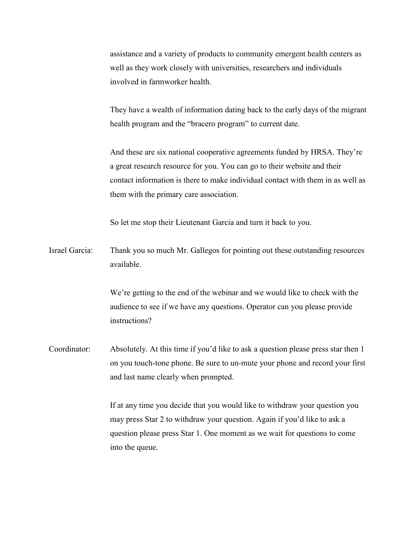assistance and a variety of products to community emergent health centers as well as they work closely with universities, researchers and individuals involved in farmworker health.

They have a wealth of information dating back to the early days of the migrant health program and the "bracero program" to current date.

And these are six national cooperative agreements funded by HRSA. They're a great research resource for you. You can go to their website and their contact information is there to make individual contact with them in as well as them with the primary care association.

So let me stop their Lieutenant Garcia and turn it back to you.

Israel Garcia: Thank you so much Mr. Gallegos for pointing out these outstanding resources available.

> We're getting to the end of the webinar and we would like to check with the audience to see if we have any questions. Operator can you please provide instructions?

Coordinator: Absolutely. At this time if you'd like to ask a question please press star then 1 on you touch-tone phone. Be sure to un-mute your phone and record your first and last name clearly when prompted.

> If at any time you decide that you would like to withdraw your question you may press Star 2 to withdraw your question. Again if you'd like to ask a question please press Star 1. One moment as we wait for questions to come into the queue.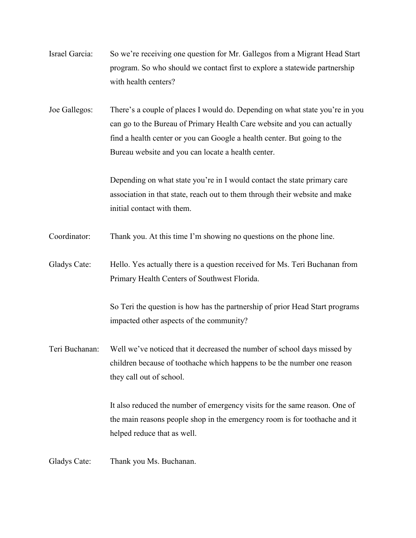| Israel Garcia: | So we're receiving one question for Mr. Gallegos from a Migrant Head Start |
|----------------|----------------------------------------------------------------------------|
|                | program. So who should we contact first to explore a statewide partnership |
|                | with health centers?                                                       |

Joe Gallegos: There's a couple of places I would do. Depending on what state you're in you can go to the Bureau of Primary Health Care website and you can actually find a health center or you can Google a health center. But going to the Bureau website and you can locate a health center.

> Depending on what state you're in I would contact the state primary care association in that state, reach out to them through their website and make initial contact with them.

- Coordinator: Thank you. At this time I'm showing no questions on the phone line.
- Gladys Cate: Hello. Yes actually there is a question received for Ms. Teri Buchanan from Primary Health Centers of Southwest Florida.

So Teri the question is how has the partnership of prior Head Start programs impacted other aspects of the community?

Teri Buchanan: Well we've noticed that it decreased the number of school days missed by children because of toothache which happens to be the number one reason they call out of school.

> It also reduced the number of emergency visits for the same reason. One of the main reasons people shop in the emergency room is for toothache and it helped reduce that as well.

Gladys Cate: Thank you Ms. Buchanan.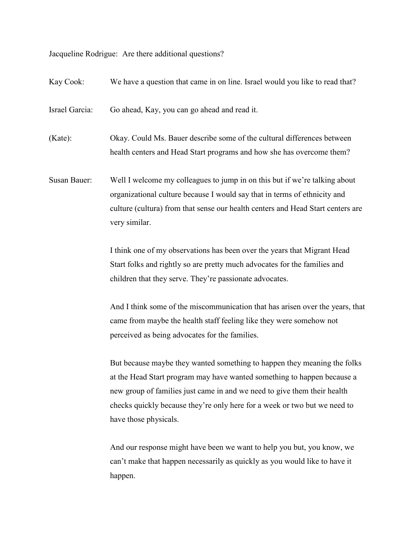Jacqueline Rodrigue: Are there additional questions?

Kay Cook: We have a question that came in on line. Israel would you like to read that? Israel Garcia: Go ahead, Kay, you can go ahead and read it. (Kate): Okay. Could Ms. Bauer describe some of the cultural differences between health centers and Head Start programs and how she has overcome them? Susan Bauer: Well I welcome my colleagues to jump in on this but if we're talking about organizational culture because I would say that in terms of ethnicity and culture (cultura) from that sense our health centers and Head Start centers are very similar. I think one of my observations has been over the years that Migrant Head Start folks and rightly so are pretty much advocates for the families and children that they serve. They're passionate advocates. And I think some of the miscommunication that has arisen over the years, that came from maybe the health staff feeling like they were somehow not perceived as being advocates for the families. But because maybe they wanted something to happen they meaning the folks at the Head Start program may have wanted something to happen because a new group of families just came in and we need to give them their health checks quickly because they're only here for a week or two but we need to have those physicals.

> And our response might have been we want to help you but, you know, we can't make that happen necessarily as quickly as you would like to have it happen.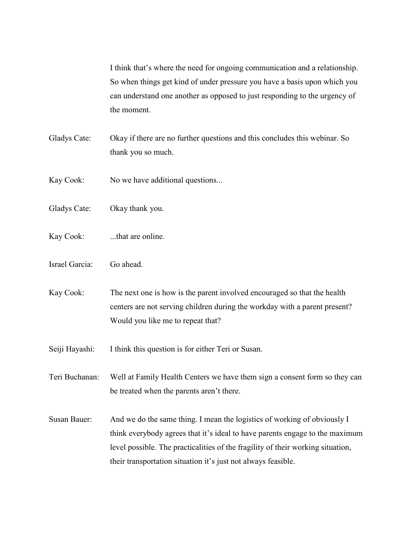I think that's where the need for ongoing communication and a relationship. So when things get kind of under pressure you have a basis upon which you can understand one another as opposed to just responding to the urgency of the moment.

- Gladys Cate: Okay if there are no further questions and this concludes this webinar. So thank you so much.
- Kay Cook: No we have additional questions...
- Gladys Cate: Okay thank you.
- Kay Cook: ...that are online.
- Israel Garcia: Go ahead.

Kay Cook: The next one is how is the parent involved encouraged so that the health centers are not serving children during the workday with a parent present? Would you like me to repeat that?

Seiji Hayashi: I think this question is for either Teri or Susan.

Teri Buchanan: Well at Family Health Centers we have them sign a consent form so they can be treated when the parents aren't there.

Susan Bauer: And we do the same thing. I mean the logistics of working of obviously I think everybody agrees that it's ideal to have parents engage to the maximum level possible. The practicalities of the fragility of their working situation, their transportation situation it's just not always feasible.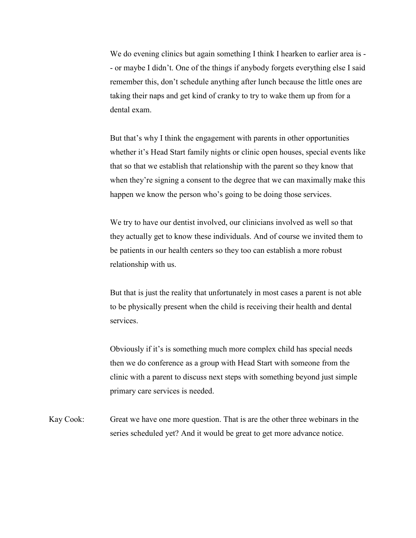We do evening clinics but again something I think I hearken to earlier area is -- or maybe I didn't. One of the things if anybody forgets everything else I said remember this, don't schedule anything after lunch because the little ones are taking their naps and get kind of cranky to try to wake them up from for a dental exam.

But that's why I think the engagement with parents in other opportunities whether it's Head Start family nights or clinic open houses, special events like that so that we establish that relationship with the parent so they know that when they're signing a consent to the degree that we can maximally make this happen we know the person who's going to be doing those services.

We try to have our dentist involved, our clinicians involved as well so that they actually get to know these individuals. And of course we invited them to be patients in our health centers so they too can establish a more robust relationship with us.

But that is just the reality that unfortunately in most cases a parent is not able to be physically present when the child is receiving their health and dental services.

Obviously if it's is something much more complex child has special needs then we do conference as a group with Head Start with someone from the clinic with a parent to discuss next steps with something beyond just simple primary care services is needed.

Kay Cook: Great we have one more question. That is are the other three webinars in the series scheduled yet? And it would be great to get more advance notice.